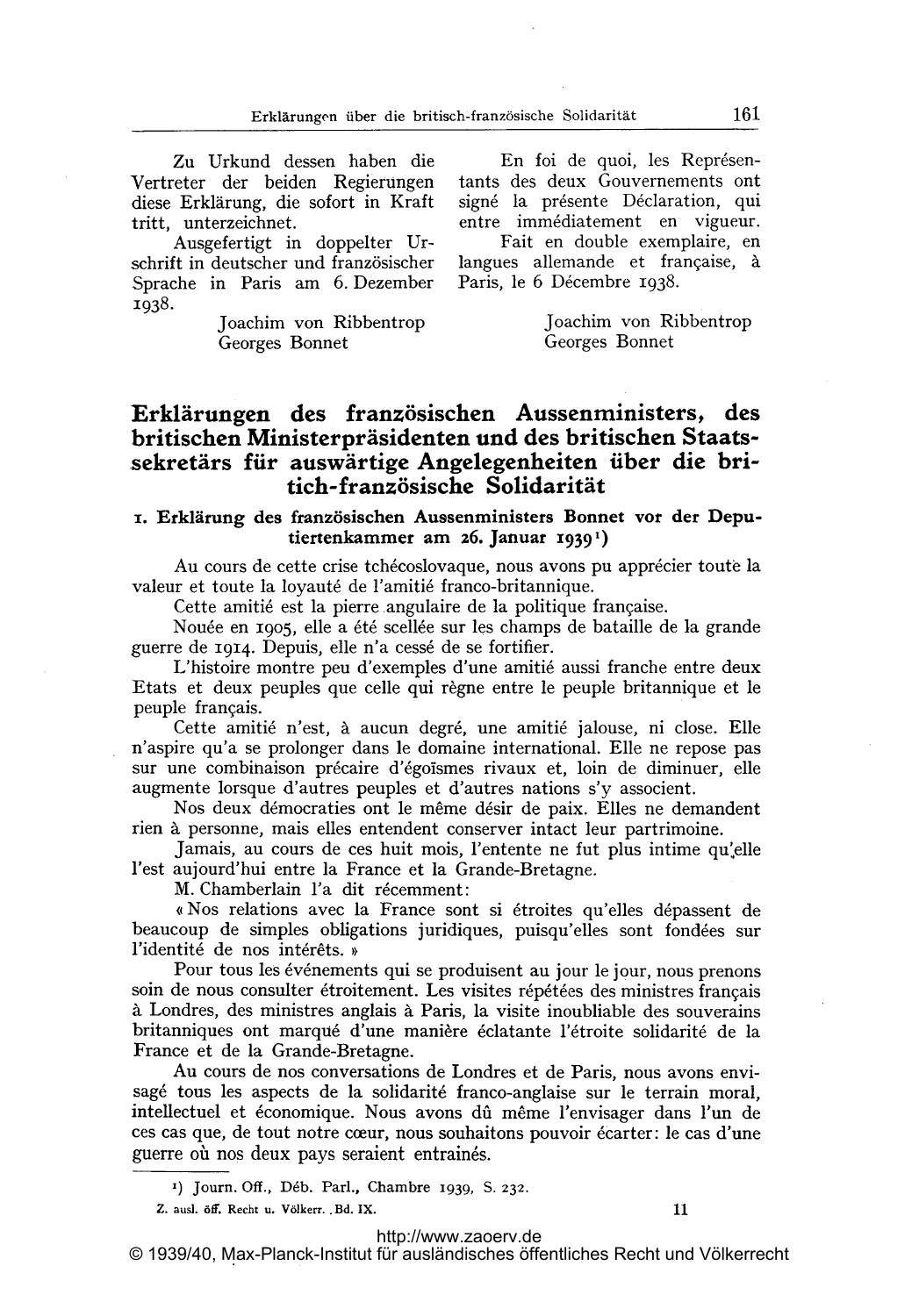Zu Urkund dessen haben die Vertreter der beiden Regierungen diese Erklärung, die sofort in Kraft tritt, unterzeichnet.

Ausgefertigt in doppelter Urschrift in deutscher und französischer Sprache in Paris am 6. Dezember 1938.

> Joachim von Ribbentrop Georges Bonnet

En foi de quoi, les Représentants des deux Gouvernements ont signé la présente Déclaration, qui entre immédiatement en vigueur.

Fait en double exemplaire, en langues allemande et française, à Paris, le 6 Décembre 1938.

> Joachim von Ribbentrop Georges Bonnet

## Erklärungen des französischen Aussenministers, des britischen Ministerpräsidenten und des britischen Staats- ,sekretärs für auswärtige Angelegenheiten über die britich-französische Solidarität

## x. Erklärung des französischen Aussenministers Bonnet vor der Deputiertenkammer am 26. Januar 19391)

Au cours de cette crise tchécoslovaque, nous avons pu apprécier toute la valeur et toute la loyauté de l'amitié franco-britannique.

Cette amitié est la pierre angulaire de la politique française.

Nouée en 1905, elle a été scellée sur les champs de bataille de la grande guerre de 1914. Depuis, elle n'a cessé de se fortifier.

L'histoire montre peu d'exemples d'une amitié aussi franche entre deux guerre de 1914. Depuis, elle n'a cessé de se fortifier.<br>L'histoire montre peu d'exemples d'une amitié aussi franche entre deux<br>Etats et deux peuples que celle qui règne entre le peuple britannique et le<br>peuple franceis Etats et deux peuples que celle qui règne entre le peuple britannique et le peuple français.

Cette amitié n'est, à aucun degré, une amitié jalouse, ni close. Elle n'aspire qu'a se prolonger dans le domaine international. Elle ne repose pas sur une combinaison précaire d'égoïsmes rivaux et, loin de diminuer, elle augmente lorsque d'autres peuples et d'autres nations s'y associent. s et deux peuples que celle qui régne entre le peuple britannique et le<br>le français.<br>Cette amitié n'est, à aucun degré, une amitié jalouse, ni close. Elle<br>ire qu'a se prolonger dans le domaine international. Elle ne repose

rien ä personne, mais elles entendent conserver intact leur partrimoine.

Jamais, au cours de ces huit mois, l'entente ne fut plus intime qu'elle l'est aujourd'hui entre la France et la Grande-Bretagne.

M. Chamberlain l'a dit récemment:

« Nos relations avec la France sont si étroites qu'elles dépassent de beaucoup de simples obligations juridiques, puisqu'elles sont fondées sur l'identité de nos intérêts. »

Pour tous les événements qui se produisent au jour le jour, nous prenons solutions avec la Trance sont si etroites qu'enes depassent de<br>
l'identité de nos intérêts. »<br>
Pour tous les événements qui se produisent au jour le jour, nous prenons<br>
soin de nous consulter étroitement. Les visites répét France de los mierets. *n*<br>Pour tous les événements qui se produisent au jour le jour, nous prenons<br>soin de nous consulter étroitement. Les visites répétées des ministres français<br>à Londres, des ministres anglais à Paris, France et de la Grande-Bretagne. Au cours de nos conversations de Londres et de Paris, nous avons envi-

sagé tous les aspects de la solidarité franco-anglaise sur le terrain moral, intellectuel et économique. Nous avons dû même l'envisager dans l'un de ces cas que, de tout notre cceur, nous souhaitons pouvoir ecarter: le cas d'une guerre où nos deux pays seraient entrainés.

Z. ausl. ölff. Recht u. Völkerr. Bd. IX. 11

© 1939/40, Max-Planck-Institut für ausländisches öffentliches Recht und Völkerrecht

<sup>1)</sup> journ. Off., D6b. Parl., Chambre 1939, S. 232.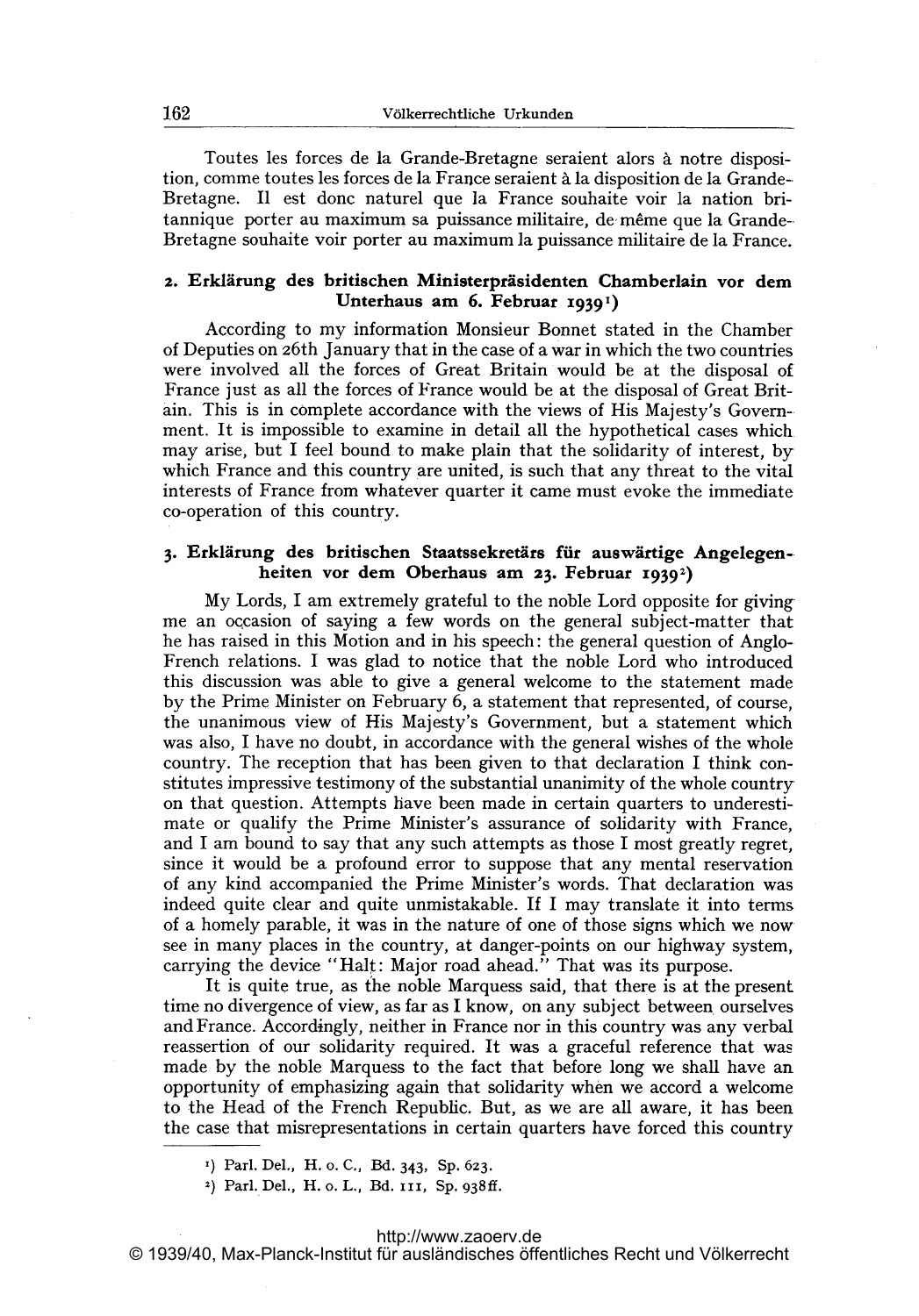Toutes les forces de la Grande-Bretagne seraient alors à notre disposition, comme toutes les forces de la France seraient h la disposition de la Grande-Bretagne. <sup>11</sup> est donc naturel que la France souhaite voir la nation britannique porter au maximum sa puissance militaire, de- m6me que la Grande-- Bretagne souhaite voir porter au maximum la puissance militaire de la France.

#### 2. Erklärung des britischen Ministerpräsidenten Chamberlain vor dem Unterhaus am 6. Februar 1939<sup>1</sup>)

According to my information Monsieur Bonnet stated in the Chamber of Deputies on 26th January that in the case of a war in which the two countries were involved all the forces of Great Britain would be at the disposal of France just as all the forces of France would be at the disposal of Great Britain. This is in complete accordance with the views of His Majesty's Government. It is impossible to examine in detail all the hypothetical cases which may arise, but <sup>I</sup> feel bound to make plain that the solidarity of interest, by which France and this country are united, is such that any threat to the vital interests of France from whatever quarter it came must evoke the immediate co-operation of this country.

## 3. Erklärung des britischen Staatssekretärs für auswärtige Angelegenheiten vor dern Oberhaus am 23. Februar 1939')

My Lords, <sup>I</sup> am extremely grateful to the noble Lord opposite for givingme an occasion of saying a few words on the general subject-matter that he has raised in this Motion and in his speech: the general question of Anglo- French relations. <sup>I</sup> was glad to notice that the noble Lord who introduced this discussion was able to give a general welcome to the statement made by the Prime Minister on February 6, a statement that represented, of course, the unanimous view of His Majesty's Government, but a statement which was also, <sup>I</sup> have no doubt, in accordance with the general wishes of the whole country. The reception that has been given to that declaration <sup>I</sup> think constitutes impressive testimony of the substantial unanimity of the whole country on that question. Attempts have been made in certain quarters to underestimate or qualify the Prime Minister's assurance of solidarity with France, and <sup>I</sup> am bound to say that any such attempts as those <sup>I</sup> most greatly regret, since it would be a profound error to suppose that any mental reservation of any kind accompanied the Prime Minister's words. That declaration was indeed quite clear and quite unmistakable. If <sup>I</sup> may translate it into terms of a homely parable, it was in the nature of one of those signs which we nowsee in many places in the country, at danger-points on our highway system, carrying the device "Halt: Major road ahead." That was its purpose.

It is quite true, as the noble Marquess said, that there is at the present time no divergence of view, as far as <sup>I</sup> know, on any subject between ourselves and France. Accordingly, neither in France nor in this country was any verbal reassertion of our solidarity required. It was a graceful reference that was made by the noble Marquess to the fact that before long we shall have an opportunity of emphasizing again that solidarity when we accord a welcome to the Head of the French Republic. But, as we are all aware, it has been the case that misrepresentations in certain quarters have forced this country

<sup>2</sup>) Parl. Del., H. o. L., Bd. 111, Sp. 938ff.

Parl. Del., H. o. C., Bd. 343, Sp. 623.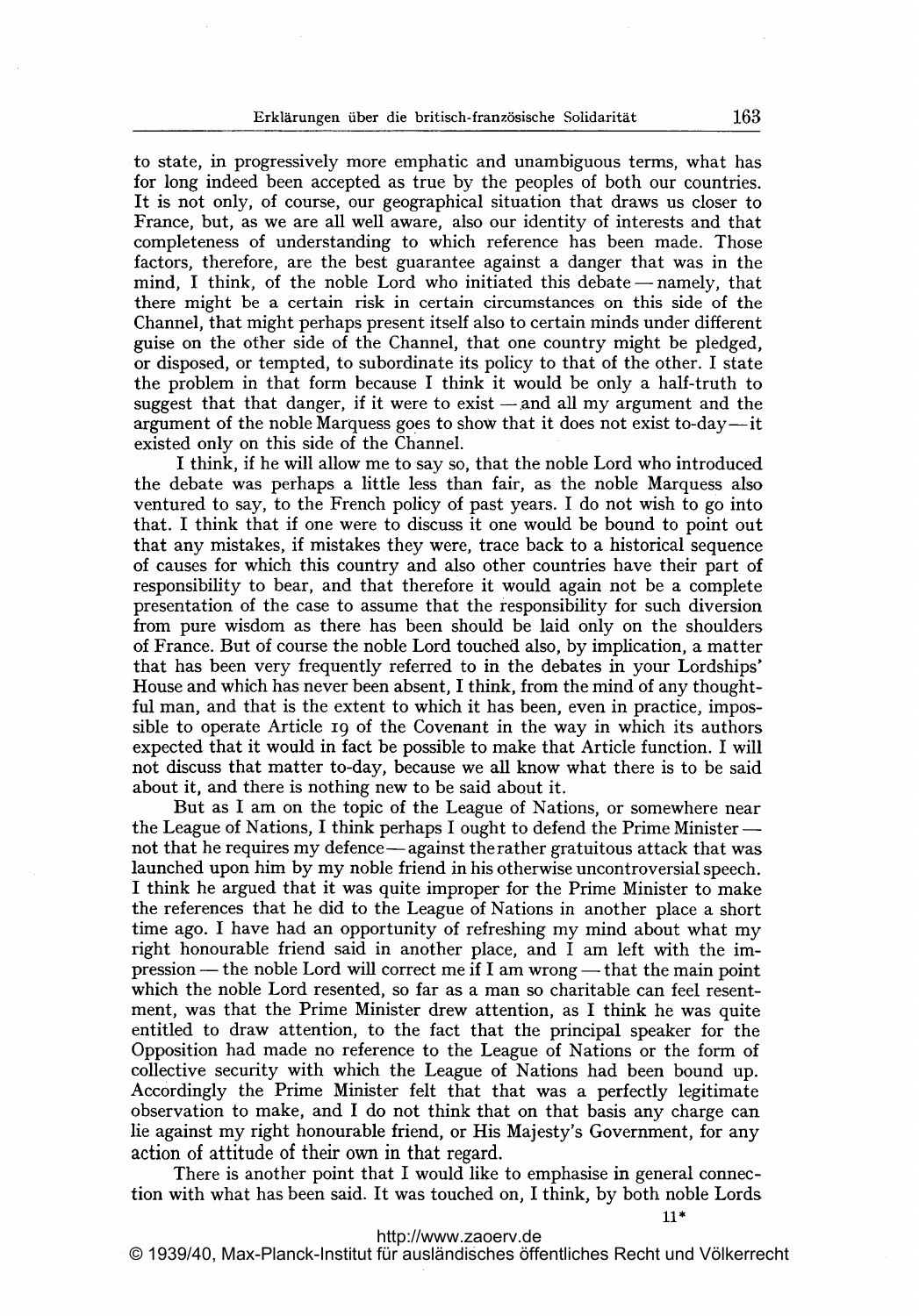to state, in progressively more emphatic and unambiguous terms, what has for long indeed been accepted as true by the peoples of both our countries. It is not only, of course, our geographical situation that draws us closer to France, but, as we are all well aware, also our identity of interests and that completeness of understanding to which reference has been made. Those factors, therefore, are the best guarantee against a danger that was in the mind, I think, of the noble Lord who initiated this debate  $-$  namely, that there might be a certain risk in certain circumstances on this side of the Channel, that might perhaps present itself also to certain minds under different guise on the other side of the Channel, that one country might be pledged, or disposed, or tempted, to subordinate its policy to that of the other. <sup>I</sup> state the problem in that form because <sup>I</sup> think it would be only a half-truth to suggest that that danger, if it were to exist  $-$  and all my argument and the argument of the noble Marquess goes to show that it does not exist to-day—it existed only on this side of the Channel.

<sup>I</sup> think, if he will allow me to say so, that the noble Lord who introduced the debate was perhaps a little less than fair, as the noble Marquess also ventured to say, to the French policy of past years. <sup>I</sup> do not wish to go into that. <sup>I</sup> think that if one were to discuss it one would be bound to point out that any mistakes, if mistakes they were, trace back to a historical sequence of causes for which this country and also other countries have their part of responsibility to bear, and that therefore it would again not be <sup>a</sup> complete presentation of the case to assume that the responsibility for such diversion from pure wisdom as there has been should be laid only on the shoulders of France. But of course the noble Lord touched also, by implication, a matter that has been very frequently referred to in the debates in your Lordships' House and which has never been absent, <sup>I</sup> think, from the mind of any thoughtful man, and that is the extent to which it has been, even in practice, impos sible to operate Article ig of the Covenant in the way in which its authors expected that it would in fact be possible to make that Article function. <sup>I</sup> will not discuss that matter to-day, because we all know what there is to be said about it, and there is nothing new to be said about it.

But as <sup>I</sup> am on the topic of the League of Nations, or somewhere near the League of Nations, I think perhaps I ought to defend the Prime Minister  $$ not that he requires my defence - against the rather gratuitous attack that was launched upon him by my noble friend in his otherwise uncontroversial speech. <sup>I</sup> think he argued that it was quite improper for the Prime Minister to make the references that he did to the League of Nations in another place a short time ago. <sup>I</sup> have had an opportunity of refreshing my mind about what my right honourable friend said in another place, and <sup>I</sup> am left with the imright nonourable friend said in another place, and I am left with the im-<br>pression — the noble Lord will correct me if I am wrong — that the main point which the noble Lord resented, so far as a man so charitable can feel resentment, was that the Prime Minister drew attention, as <sup>I</sup> think he was quite entitled to draw attention, to the fact that the principal speaker for the Opposition had made no reference to the League of Nations or the form of collective security with which the League of Nations had been bound up. Accordingly the Prime Minister felt that that was a perfectly legitimate observation to make, and <sup>I</sup> do not think that on that basis any charge can lie against my right honourable friend, or His Majesty's Government, for any action of attitude of their own in that regard.

There is another point that <sup>I</sup> would like to emphasise in general connection with what has been said. It was touched on, <sup>I</sup> think, by both noble Lords

11\*